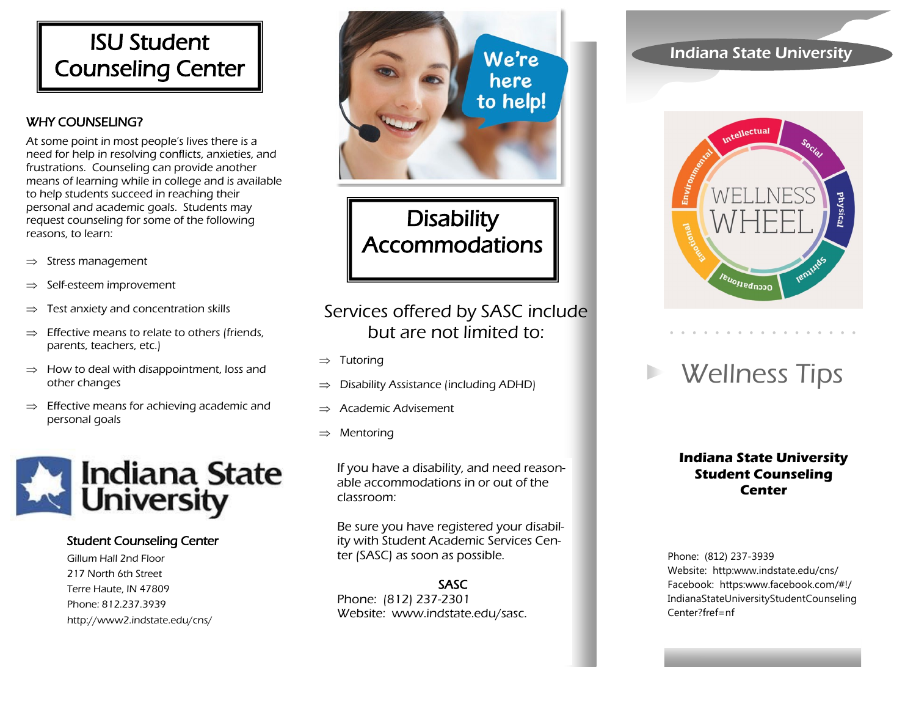# ISU Student Counseling Center

#### WHY COUNSELING?

At some point in most people's lives there is a need for help in resolving conflicts, anxieties, and frustrations. Counseling can provide another means of learning while in college and is available to help students succeed in reaching their personal and academic goals. Students may request counseling for some of the following reasons, to learn:

- $\Rightarrow$  Stress management
- $\Rightarrow$  Self-esteem improvement
- $\Rightarrow$  Test anxiety and concentration skills
- Effective means to relate to others (friends, parents, teachers, etc.)
- $\Rightarrow$  How to deal with disappointment, loss and other changes
- $\Rightarrow$  Effective means for achieving academic and personal goals



#### Student Counseling Center

Gillum Hall 2nd Floor 217 North 6th Street Terre Haute, IN 47809 Phone: 812.237.3939 http://www2.indstate.edu/cns/



**Disability** Accommodations

## Services offered by SASC include but are not limited to:

- $\Rightarrow$  Tutoring
- $\Rightarrow$  Disability Assistance (including ADHD)
- $\Rightarrow$  Academic Advisement
- $\Rightarrow$  Mentoring

If you have a disability, and need reasonable accommodations in or out of the classroom:

Be sure you have registered your disability with Student Academic Services Center (SASC) as soon as possible.

#### SASC

Phone: (812) 237-2301 Website: www.indstate.edu/sasc.

### Indiana State University



# Wellness Tips

#### **Indiana State University Student Counseling Center**

Phone: (812) 237-3939 Website: http:www.indstate.edu/cns/ Facebook: https:www.facebook.com/#!/ IndianaStateUniversityStudentCounseling Center?fref=nf